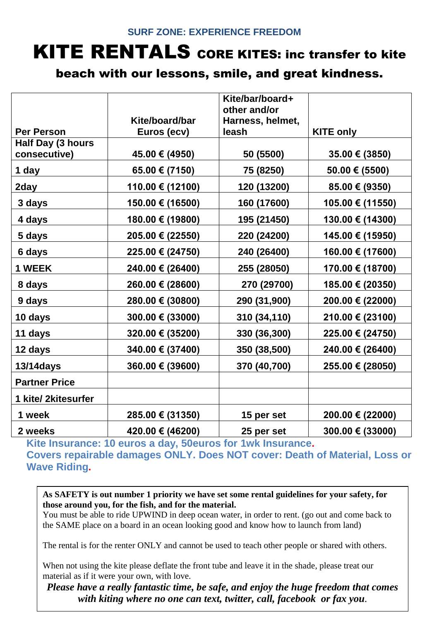## **SURF ZONE: EXPERIENCE FREEDOM**

## KITE RENTALS CORE KITES: inc transfer to kite

## beach with our lessons, smile, and great kindness.

|                      |                    | Kite/bar/board+  |                    |
|----------------------|--------------------|------------------|--------------------|
|                      |                    | other and/or     |                    |
|                      | Kite/board/bar     | Harness, helmet, |                    |
| <b>Per Person</b>    | Euros (ecv)        | leash            | <b>KITE only</b>   |
| Half Day (3 hours    |                    |                  |                    |
| consecutive)         | 45.00 € (4950)     | 50 (5500)        | 35.00 € (3850)     |
| 1 day                | $65.00 \in (7150)$ | 75 (8250)        | $50.00 \in (5500)$ |
| 2day                 | 110.00 € (12100)   | 120 (13200)      | 85.00 € (9350)     |
| 3 days               | 150.00 € (16500)   | 160 (17600)      | 105.00 € (11550)   |
| 4 days               | 180.00 € (19800)   | 195 (21450)      | 130.00 € (14300)   |
| 5 days               | 205.00 € (22550)   | 220 (24200)      | 145.00 € (15950)   |
| 6 days               | 225.00 € (24750)   | 240 (26400)      | 160.00 € (17600)   |
| 1 WEEK               | 240.00 € (26400)   | 255 (28050)      | 170.00 € (18700)   |
| 8 days               | 260.00 € (28600)   | 270 (29700)      | 185.00 € (20350)   |
| 9 days               | 280.00 € (30800)   | 290 (31,900)     | 200.00 € (22000)   |
| 10 days              | 300.00 € (33000)   | 310 (34,110)     | 210.00 € (23100)   |
| 11 days              | 320.00 € (35200)   | 330 (36,300)     | 225.00 € (24750)   |
| 12 days              | 340.00 € (37400)   | 350 (38,500)     | 240.00 € (26400)   |
| <b>13/14days</b>     | 360.00 € (39600)   | 370 (40,700)     | 255.00 € (28050)   |
| <b>Partner Price</b> |                    |                  |                    |
| 1 kite/ 2kitesurfer  |                    |                  |                    |
| 1 week               | 285.00 € (31350)   | 15 per set       | 200.00 € (22000)   |
| 2 weeks              | 420.00 € (46200)   | 25 per set       | 300.00 € (33000)   |

**Kite Insurance: 10 euros a day, 50euros for 1wk Insurance. Covers repairable damages ONLY. Does NOT cover: Death of Material, Loss or Wave Riding.**

**As SAFETY is out number 1 priority we have set some rental guidelines for your safety, for those around you, for the fish, and for the material.** 

You must be able to ride UPWIND in deep ocean water, in order to rent. (go out and come back to the SAME place on a board in an ocean looking good and know how to launch from land)

The rental is for the renter ONLY and cannot be used to teach other people or shared with others.

When not using the kite please deflate the front tube and leave it in the shade, please treat our material as if it were your own, with love.

*Please have a really fantastic time, be safe, and enjoy the huge freedom that comes with kiting where no one can text, twitter, call, facebook or fax you.*